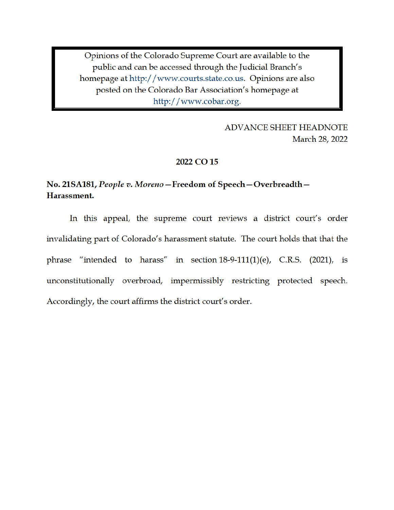Opinions of the Colorado Supreme Court are available to the public and can be accessed through the Judicial Branch's homepage at http://www.courts.state.co.us. Opinions are also posted on the Colorado Bar Association's homepage at http://www.cobar.org.

> **ADVANCE SHEET HEADNOTE** March 28, 2022

#### 2022 CO 15

# No. 21SA181, People v. Moreno-Freedom of Speech-Overbreadth-Harassment.

In this appeal, the supreme court reviews a district court's order invalidating part of Colorado's harassment statute. The court holds that that the phrase "intended to harass" in section  $18-9-111(1)(e)$ , C.R.S. (2021), is unconstitutionally overbroad, impermissibly restricting protected speech. Accordingly, the court affirms the district court's order.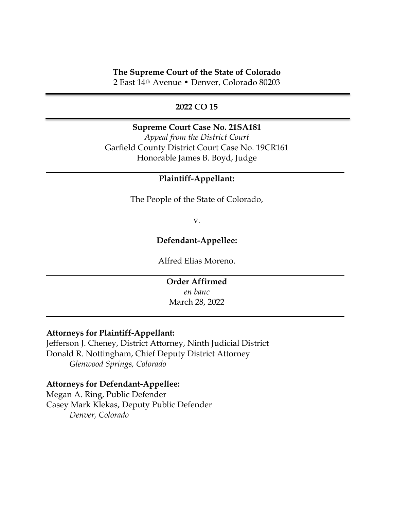# **The Supreme Court of the State of Colorado**

2 East 14th Avenue • Denver, Colorado 80203

# **2022 CO 15**

# **Supreme Court Case No. 21SA181**

*Appeal from the District Court*  Garfield County District Court Case No. 19CR161 Honorable James B. Boyd, Judge

# **Plaintiff-Appellant:**

The People of the State of Colorado,

v.

# **Defendant-Appellee:**

Alfred Elias Moreno.

**Order Affirmed**  *en banc* March 28, 2022

#### **Attorneys for Plaintiff-Appellant:**

Jefferson J. Cheney, District Attorney, Ninth Judicial District Donald R. Nottingham, Chief Deputy District Attorney *Glenwood Springs, Colorado* 

# **Attorneys for Defendant-Appellee:**

Megan A. Ring, Public Defender Casey Mark Klekas, Deputy Public Defender *Denver, Colorado*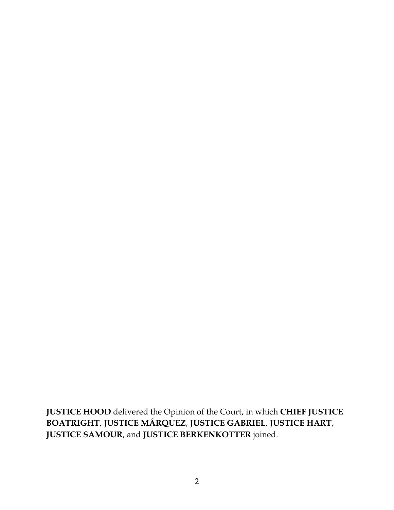**JUSTICE HOOD** delivered the Opinion of the Court, in which **CHIEF JUSTICE BOATRIGHT**, **JUSTICE MÁRQUEZ**, **JUSTICE GABRIEL**, **JUSTICE HART**, **JUSTICE SAMOUR**, and **JUSTICE BERKENKOTTER** joined.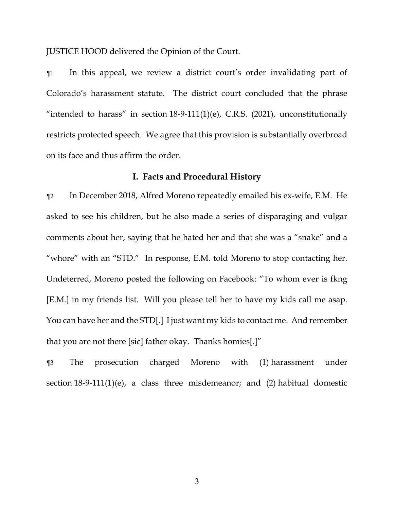JUSTICE HOOD delivered the Opinion of the Court.

¶1 In this appeal, we review a district court's order invalidating part of Colorado's harassment statute. The district court concluded that the phrase "intended to harass" in section  $18-9-111(1)(e)$ , C.R.S. (2021), unconstitutionally restricts protected speech. We agree that this provision is substantially overbroad on its face and thus affirm the order.

# **I. Facts and Procedural History**

¶2 In December 2018, Alfred Moreno repeatedly emailed his ex-wife, E.M. He asked to see his children, but he also made a series of disparaging and vulgar comments about her, saying that he hated her and that she was a "snake" and a "whore" with an "STD." In response, E.M. told Moreno to stop contacting her. Undeterred, Moreno posted the following on Facebook: "To whom ever is fkng [E.M.] in my friends list. Will you please tell her to have my kids call me asap. You can have her and the STD[.] I just want my kids to contact me. And remember that you are not there [sic] father okay. Thanks homies[.]"

¶3 The prosecution charged Moreno with (1) harassment under section 18-9-111(1)(e), a class three misdemeanor; and (2) habitual domestic

3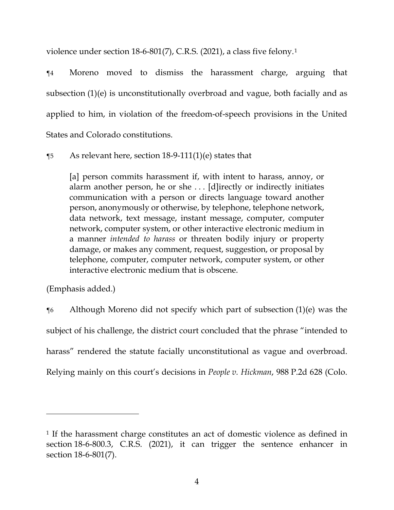violence under section 18-6-801(7), C.R.S. (2021), a class five felony.1

¶4 Moreno moved to dismiss the harassment charge, arguing that subsection (1)(e) is unconstitutionally overbroad and vague, both facially and as applied to him, in violation of the freedom-of-speech provisions in the United States and Colorado constitutions.

 $\%$  As relevant here, section 18-9-111(1)(e) states that

[a] person commits harassment if, with intent to harass, annoy, or alarm another person, he or she . . . [d]irectly or indirectly initiates communication with a person or directs language toward another person, anonymously or otherwise, by telephone, telephone network, data network, text message, instant message, computer, computer network, computer system, or other interactive electronic medium in a manner *intended to harass* or threaten bodily injury or property damage, or makes any comment, request, suggestion, or proposal by telephone, computer, computer network, computer system, or other interactive electronic medium that is obscene.

(Emphasis added.)

¶6 Although Moreno did not specify which part of subsection (1)(e) was the subject of his challenge, the district court concluded that the phrase "intended to harass" rendered the statute facially unconstitutional as vague and overbroad. Relying mainly on this court's decisions in *People v. Hickman*, 988 P.2d 628 (Colo.

<sup>1</sup> If the harassment charge constitutes an act of domestic violence as defined in section 18-6-800.3, C.R.S. (2021), it can trigger the sentence enhancer in section 18-6-801(7).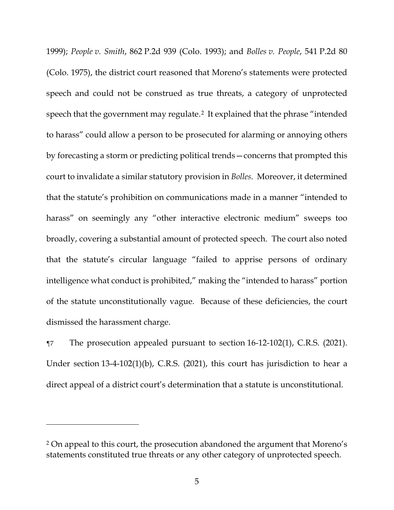1999); *People v. Smith*, 862 P.2d 939 (Colo. 1993); and *Bolles v. People*, 541 P.2d 80 (Colo. 1975), the district court reasoned that Moreno's statements were protected speech and could not be construed as true threats, a category of unprotected speech that the government may regulate.2 It explained that the phrase "intended to harass" could allow a person to be prosecuted for alarming or annoying others by forecasting a storm or predicting political trends—concerns that prompted this court to invalidate a similar statutory provision in *Bolles*. Moreover, it determined that the statute's prohibition on communications made in a manner "intended to harass" on seemingly any "other interactive electronic medium" sweeps too broadly, covering a substantial amount of protected speech. The court also noted that the statute's circular language "failed to apprise persons of ordinary intelligence what conduct is prohibited," making the "intended to harass" portion of the statute unconstitutionally vague. Because of these deficiencies, the court dismissed the harassment charge.

¶7 The prosecution appealed pursuant to section 16-12-102(1), C.R.S. (2021). Under section 13-4-102(1)(b), C.R.S. (2021), this court has jurisdiction to hear a direct appeal of a district court's determination that a statute is unconstitutional.

<sup>2</sup> On appeal to this court, the prosecution abandoned the argument that Moreno's statements constituted true threats or any other category of unprotected speech.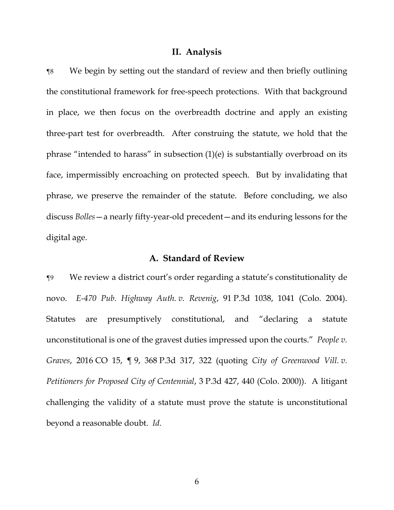#### **II. Analysis**

¶8 We begin by setting out the standard of review and then briefly outlining the constitutional framework for free-speech protections. With that background in place, we then focus on the overbreadth doctrine and apply an existing three-part test for overbreadth. After construing the statute, we hold that the phrase "intended to harass" in subsection (1)(e) is substantially overbroad on its face, impermissibly encroaching on protected speech. But by invalidating that phrase, we preserve the remainder of the statute. Before concluding, we also discuss *Bolles*—a nearly fifty-year-old precedent—and its enduring lessons for the digital age.

#### **A. Standard of Review**

¶9 We review a district court's order regarding a statute's constitutionality de novo. *E-470 Pub. Highway Auth. v. Revenig*, 91 P.3d 1038, 1041 (Colo. 2004). Statutes are presumptively constitutional, and "declaring a statute unconstitutional is one of the gravest duties impressed upon the courts." *People v. Graves*, 2016 CO 15, ¶ 9, 368 P.3d 317, 322 (quoting *City of Greenwood Vill. v. Petitioners for Proposed City of Centennial*, 3 P.3d 427, 440 (Colo. 2000)). A litigant challenging the validity of a statute must prove the statute is unconstitutional beyond a reasonable doubt. *Id.*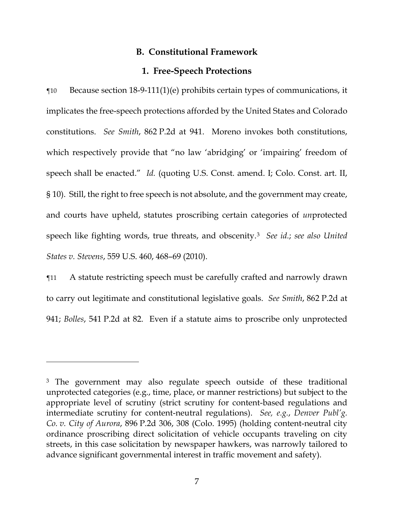# **B. Constitutional Framework**

## **1. Free-Speech Protections**

¶10 Because section 18-9-111(1)(e) prohibits certain types of communications, it implicates the free-speech protections afforded by the United States and Colorado constitutions. *See Smith*, 862 P.2d at 941. Moreno invokes both constitutions, which respectively provide that "no law 'abridging' or 'impairing' freedom of speech shall be enacted." *Id.* (quoting U.S. Const. amend. I; Colo. Const. art. II, § 10). Still, the right to free speech is not absolute, and the government may create, and courts have upheld, statutes proscribing certain categories of *un*protected speech like fighting words, true threats, and obscenity.3 *See id.*; *see also United States v. Stevens*, 559 U.S. 460, 468–69 (2010).

¶11 A statute restricting speech must be carefully crafted and narrowly drawn to carry out legitimate and constitutional legislative goals. *See Smith*, 862 P.2d at 941; *Bolles*, 541 P.2d at 82. Even if a statute aims to proscribe only unprotected

<sup>&</sup>lt;sup>3</sup> The government may also regulate speech outside of these traditional unprotected categories (e.g., time, place, or manner restrictions) but subject to the appropriate level of scrutiny (strict scrutiny for content-based regulations and intermediate scrutiny for content-neutral regulations). *See, e.g.*, *Denver Publ'g. Co. v. City of Aurora*, 896 P.2d 306, 308 (Colo. 1995) (holding content-neutral city ordinance proscribing direct solicitation of vehicle occupants traveling on city streets, in this case solicitation by newspaper hawkers, was narrowly tailored to advance significant governmental interest in traffic movement and safety).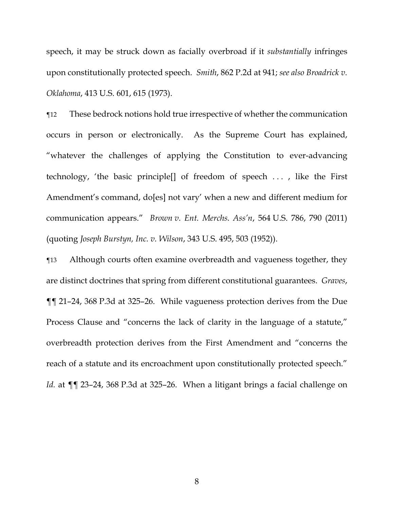speech, it may be struck down as facially overbroad if it *substantially* infringes upon constitutionally protected speech. *Smith*, 862 P.2d at 941; *see also Broadrick v. Oklahoma*, 413 U.S. 601, 615 (1973).

¶12 These bedrock notions hold true irrespective of whether the communication occurs in person or electronically. As the Supreme Court has explained, "whatever the challenges of applying the Constitution to ever-advancing technology, 'the basic principle[] of freedom of speech . . . , like the First Amendment's command, do[es] not vary' when a new and different medium for communication appears." *Brown v. Ent. Merchs. Ass'n*, 564 U.S. 786, 790 (2011) (quoting *Joseph Burstyn, Inc. v. Wilson*, 343 U.S. 495, 503 (1952)).

¶13 Although courts often examine overbreadth and vagueness together, they are distinct doctrines that spring from different constitutional guarantees. *Graves*, ¶¶ 21–24, 368 P.3d at 325–26. While vagueness protection derives from the Due Process Clause and "concerns the lack of clarity in the language of a statute," overbreadth protection derives from the First Amendment and "concerns the reach of a statute and its encroachment upon constitutionally protected speech." *Id.* at ¶¶ 23–24, 368 P.3d at 325–26. When a litigant brings a facial challenge on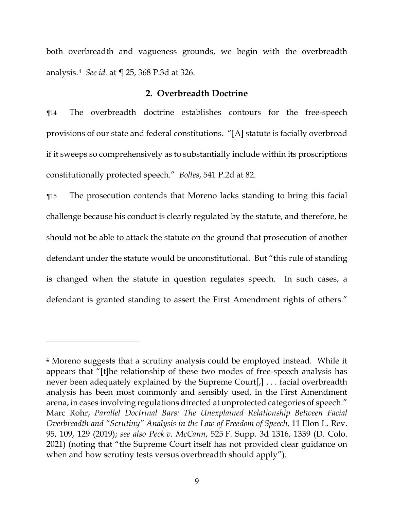both overbreadth and vagueness grounds, we begin with the overbreadth analysis.4 *See id.* at ¶ 25, 368 P.3d at 326.

#### **2. Overbreadth Doctrine**

¶14 The overbreadth doctrine establishes contours for the free-speech provisions of our state and federal constitutions. "[A] statute is facially overbroad if it sweeps so comprehensively as to substantially include within its proscriptions constitutionally protected speech." *Bolles*, 541 P.2d at 82.

¶15 The prosecution contends that Moreno lacks standing to bring this facial challenge because his conduct is clearly regulated by the statute, and therefore, he should not be able to attack the statute on the ground that prosecution of another defendant under the statute would be unconstitutional. But "this rule of standing is changed when the statute in question regulates speech. In such cases, a defendant is granted standing to assert the First Amendment rights of others."

<sup>4</sup> Moreno suggests that a scrutiny analysis could be employed instead. While it appears that "[t]he relationship of these two modes of free-speech analysis has never been adequately explained by the Supreme Court[,] . . . facial overbreadth analysis has been most commonly and sensibly used, in the First Amendment arena, in cases involving regulations directed at unprotected categories of speech." Marc Rohr, *Parallel Doctrinal Bars: The Unexplained Relationship Between Facial Overbreadth and "Scrutiny" Analysis in the Law of Freedom of Speech*, 11 Elon L. Rev. 95, 109, 129 (2019); *see also Peck v. McCann*, 525 F. Supp. 3d 1316, 1339 (D. Colo. 2021) (noting that "the Supreme Court itself has not provided clear guidance on when and how scrutiny tests versus overbreadth should apply").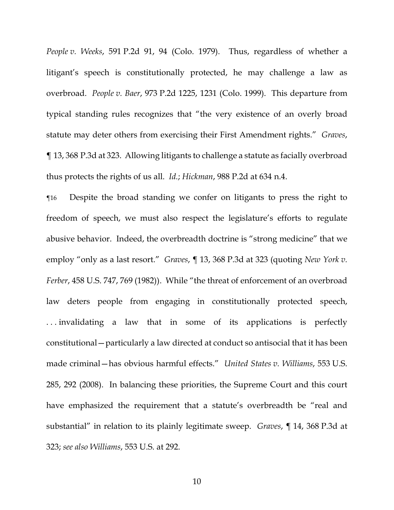*People v. Weeks*, 591 P.2d 91, 94 (Colo. 1979). Thus, regardless of whether a litigant's speech is constitutionally protected, he may challenge a law as overbroad. *People v. Baer*, 973 P.2d 1225, 1231 (Colo. 1999). This departure from typical standing rules recognizes that "the very existence of an overly broad statute may deter others from exercising their First Amendment rights." *Graves*, ¶ 13, 368 P.3d at 323. Allowing litigants to challenge a statute as facially overbroad thus protects the rights of us all. *Id.*; *Hickman*, 988 P.2d at 634 n.4.

¶16 Despite the broad standing we confer on litigants to press the right to freedom of speech, we must also respect the legislature's efforts to regulate abusive behavior. Indeed, the overbreadth doctrine is "strong medicine" that we employ "only as a last resort." *Graves*, ¶ 13, 368 P.3d at 323 (quoting *New York v. Ferber*, 458 U.S. 747, 769 (1982)). While "the threat of enforcement of an overbroad law deters people from engaging in constitutionally protected speech, . . . invalidating a law that in some of its applications is perfectly constitutional—particularly a law directed at conduct so antisocial that it has been made criminal—has obvious harmful effects." *United States v. Williams*, 553 U.S. 285, 292 (2008). In balancing these priorities, the Supreme Court and this court have emphasized the requirement that a statute's overbreadth be "real and substantial" in relation to its plainly legitimate sweep. *Graves*, ¶ 14, 368 P.3d at 323; *see also Williams*, 553 U.S. at 292.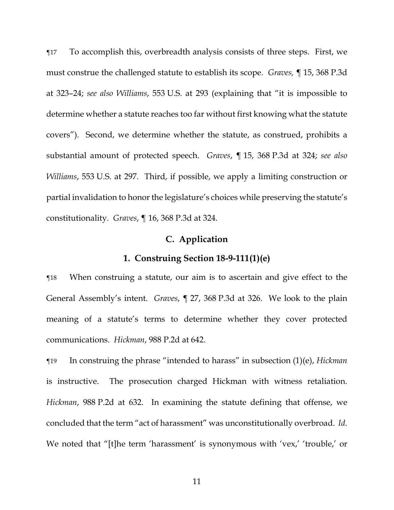¶17 To accomplish this, overbreadth analysis consists of three steps. First, we must construe the challenged statute to establish its scope. *Graves,* ¶ 15, 368 P.3d at 323–24; *see also Williams*, 553 U.S. at 293 (explaining that "it is impossible to determine whether a statute reaches too far without first knowing what the statute covers"). Second, we determine whether the statute, as construed, prohibits a substantial amount of protected speech. *Graves*, ¶ 15, 368 P.3d at 324; *see also Williams*, 553 U.S. at 297. Third, if possible, we apply a limiting construction or partial invalidation to honor the legislature's choices while preserving the statute's constitutionality. *Graves*, ¶ 16, 368 P.3d at 324.

# **C. Application**

#### **1. Construing Section 18-9-111(1)(e)**

¶18 When construing a statute, our aim is to ascertain and give effect to the General Assembly's intent. *Graves*, ¶ 27, 368 P.3d at 326. We look to the plain meaning of a statute's terms to determine whether they cover protected communications. *Hickman*, 988 P.2d at 642.

¶19 In construing the phrase "intended to harass" in subsection (1)(e), *Hickman* is instructive. The prosecution charged Hickman with witness retaliation. *Hickman*, 988 P.2d at 632. In examining the statute defining that offense, we concluded that the term "act of harassment" was unconstitutionally overbroad. *Id.* We noted that "[t]he term 'harassment' is synonymous with 'vex,' 'trouble,' or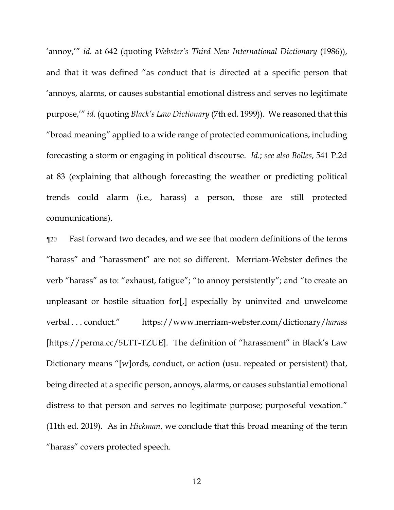'annoy,'" *id.* at 642 (quoting *Webster's Third New International Dictionary* (1986)), and that it was defined "as conduct that is directed at a specific person that 'annoys, alarms, or causes substantial emotional distress and serves no legitimate purpose,'" *id.* (quoting *Black's Law Dictionary* (7th ed. 1999)). We reasoned that this "broad meaning" applied to a wide range of protected communications, including forecasting a storm or engaging in political discourse. *Id.*; *see also Bolles*, 541 P.2d at 83 (explaining that although forecasting the weather or predicting political trends could alarm (i.e., harass) a person, those are still protected communications).

¶20 Fast forward two decades, and we see that modern definitions of the terms "harass" and "harassment" are not so different. Merriam-Webster defines the verb "harass" as to: "exhaust, fatigue"; "to annoy persistently"; and "to create an unpleasant or hostile situation for[,] especially by uninvited and unwelcome verbal . . . conduct." https://www.merriam-webster.com/dictionary/*harass* [https://perma.cc/5LTT-TZUE]. The definition of "harassment" in Black's Law Dictionary means "[w]ords, conduct, or action (usu. repeated or persistent) that, being directed at a specific person, annoys, alarms, or causes substantial emotional distress to that person and serves no legitimate purpose; purposeful vexation." (11th ed. 2019). As in *Hickman*, we conclude that this broad meaning of the term "harass" covers protected speech.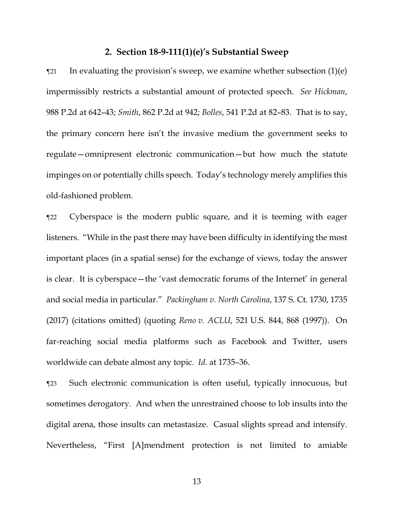#### **2. Section 18-9-111(1)(e)'s Substantial Sweep**

 $\gamma$  In evaluating the provision's sweep, we examine whether subsection (1)(e) impermissibly restricts a substantial amount of protected speech. *See Hickman*, 988 P.2d at 642–43; *Smith*, 862 P.2d at 942; *Bolles*, 541 P.2d at 82–83. That is to say, the primary concern here isn't the invasive medium the government seeks to regulate—omnipresent electronic communication—but how much the statute impinges on or potentially chills speech. Today's technology merely amplifies this old-fashioned problem.

¶22 Cyberspace is the modern public square, and it is teeming with eager listeners. "While in the past there may have been difficulty in identifying the most important places (in a spatial sense) for the exchange of views, today the answer is clear. It is cyberspace—the 'vast democratic forums of the Internet' in general and social media in particular." *Packingham v. North Carolina*, 137 S. Ct. 1730, 1735 (2017) (citations omitted) (quoting *Reno v. ACLU*, 521 U.S. 844, 868 (1997)). On far-reaching social media platforms such as Facebook and Twitter, users worldwide can debate almost any topic. *Id.* at 1735–36.

¶23 Such electronic communication is often useful, typically innocuous, but sometimes derogatory. And when the unrestrained choose to lob insults into the digital arena, those insults can metastasize. Casual slights spread and intensify. Nevertheless, "First [A]mendment protection is not limited to amiable

13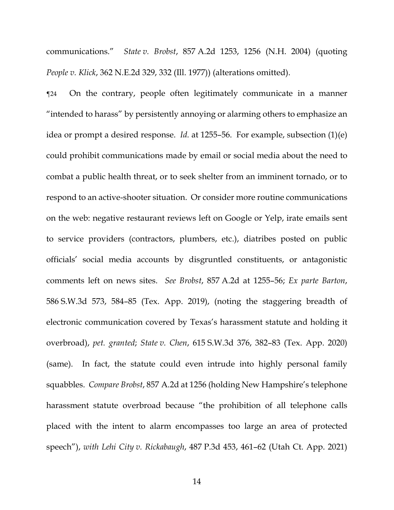communications." *State v. Brobst*, 857 A.2d 1253, 1256 (N.H. 2004) (quoting *People v. Klick*, 362 N.E.2d 329, 332 (Ill. 1977)) (alterations omitted).

¶24 On the contrary, people often legitimately communicate in a manner "intended to harass" by persistently annoying or alarming others to emphasize an idea or prompt a desired response. *Id.* at 1255–56. For example, subsection (1)(e) could prohibit communications made by email or social media about the need to combat a public health threat, or to seek shelter from an imminent tornado, or to respond to an active-shooter situation. Or consider more routine communications on the web: negative restaurant reviews left on Google or Yelp, irate emails sent to service providers (contractors, plumbers, etc.), diatribes posted on public officials' social media accounts by disgruntled constituents, or antagonistic comments left on news sites. *See Brobst*, 857 A.2d at 1255–56; *Ex parte Barton*, 586 S.W.3d 573, 584–85 (Tex. App. 2019), (noting the staggering breadth of electronic communication covered by Texas's harassment statute and holding it overbroad), *pet. granted*; *State v. Chen*, 615 S.W.3d 376, 382–83 (Tex. App. 2020) (same). In fact, the statute could even intrude into highly personal family squabbles. *Compare Brobst*, 857 A.2d at 1256 (holding New Hampshire's telephone harassment statute overbroad because "the prohibition of all telephone calls placed with the intent to alarm encompasses too large an area of protected speech"), *with Lehi City v. Rickabaugh*, 487 P.3d 453, 461–62 (Utah Ct. App. 2021)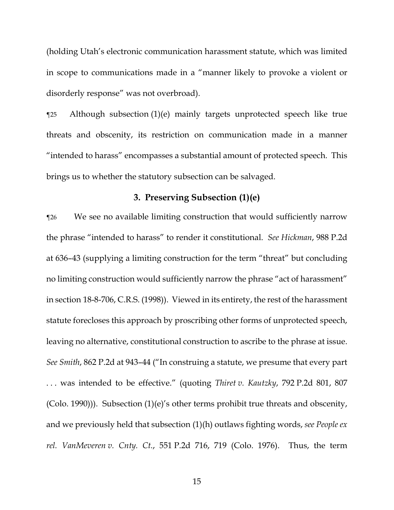(holding Utah's electronic communication harassment statute, which was limited in scope to communications made in a "manner likely to provoke a violent or disorderly response" was not overbroad).

¶25 Although subsection (1)(e) mainly targets unprotected speech like true threats and obscenity, its restriction on communication made in a manner "intended to harass" encompasses a substantial amount of protected speech. This brings us to whether the statutory subsection can be salvaged.

# **3. Preserving Subsection (1)(e)**

¶26 We see no available limiting construction that would sufficiently narrow the phrase "intended to harass" to render it constitutional. *See Hickman*, 988 P.2d at 636–43 (supplying a limiting construction for the term "threat" but concluding no limiting construction would sufficiently narrow the phrase "act of harassment" in section 18-8-706, C.R.S. (1998)). Viewed in its entirety, the rest of the harassment statute forecloses this approach by proscribing other forms of unprotected speech, leaving no alternative, constitutional construction to ascribe to the phrase at issue. *See Smith*, 862 P.2d at 943–44 ("In construing a statute, we presume that every part . . . was intended to be effective." (quoting *Thiret v. Kautzky*, 792 P.2d 801, 807 (Colo. 1990))). Subsection (1)(e)'s other terms prohibit true threats and obscenity, and we previously held that subsection (1)(h) outlaws fighting words, *see People ex rel. VanMeveren v. Cnty. Ct.*, 551 P.2d 716, 719 (Colo. 1976). Thus, the term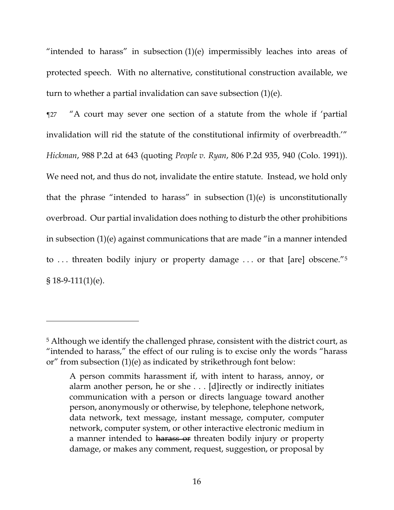"intended to harass" in subsection  $(1)(e)$  impermissibly leaches into areas of protected speech. With no alternative, constitutional construction available, we turn to whether a partial invalidation can save subsection (1)(e).

¶27 "A court may sever one section of a statute from the whole if 'partial invalidation will rid the statute of the constitutional infirmity of overbreadth.'" *Hickman*, 988 P.2d at 643 (quoting *People v. Ryan*, 806 P.2d 935, 940 (Colo. 1991)). We need not, and thus do not, invalidate the entire statute. Instead, we hold only that the phrase "intended to harass" in subsection  $(1)(e)$  is unconstitutionally overbroad. Our partial invalidation does nothing to disturb the other prohibitions in subsection (1)(e) against communications that are made "in a manner intended to ... threaten bodily injury or property damage ... or that [are] obscene."<sup>5</sup> § 18-9-111(1)(e).

<sup>5</sup> Although we identify the challenged phrase, consistent with the district court, as "intended to harass," the effect of our ruling is to excise only the words "harass or" from subsection (1)(e) as indicated by strikethrough font below:

A person commits harassment if, with intent to harass, annoy, or alarm another person, he or she . . . [d]irectly or indirectly initiates communication with a person or directs language toward another person, anonymously or otherwise, by telephone, telephone network, data network, text message, instant message, computer, computer network, computer system, or other interactive electronic medium in a manner intended to harass or threaten bodily injury or property damage, or makes any comment, request, suggestion, or proposal by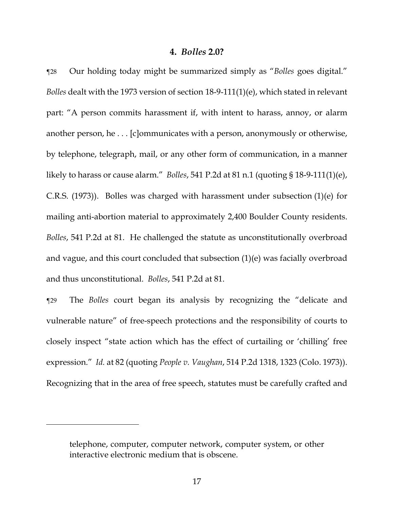#### **4.** *Bolles* **2.0?**

¶28 Our holding today might be summarized simply as "*Bolles* goes digital." *Bolles* dealt with the 1973 version of section 18-9-111(1)(e), which stated in relevant part: "A person commits harassment if, with intent to harass, annoy, or alarm another person, he . . . [c]ommunicates with a person, anonymously or otherwise, by telephone, telegraph, mail, or any other form of communication, in a manner likely to harass or cause alarm." *Bolles*, 541 P.2d at 81 n.1 (quoting § 18-9-111(1)(e), C.R.S. (1973)). Bolles was charged with harassment under subsection (1)(e) for mailing anti-abortion material to approximately 2,400 Boulder County residents. *Bolles*, 541 P.2d at 81. He challenged the statute as unconstitutionally overbroad and vague, and this court concluded that subsection (1)(e) was facially overbroad and thus unconstitutional. *Bolles*, 541 P.2d at 81.

¶29 The *Bolles* court began its analysis by recognizing the "delicate and vulnerable nature" of free-speech protections and the responsibility of courts to closely inspect "state action which has the effect of curtailing or 'chilling' free expression." *Id.* at 82 (quoting *People v. Vaughan*, 514 P.2d 1318, 1323 (Colo. 1973)). Recognizing that in the area of free speech, statutes must be carefully crafted and

telephone, computer, computer network, computer system, or other interactive electronic medium that is obscene.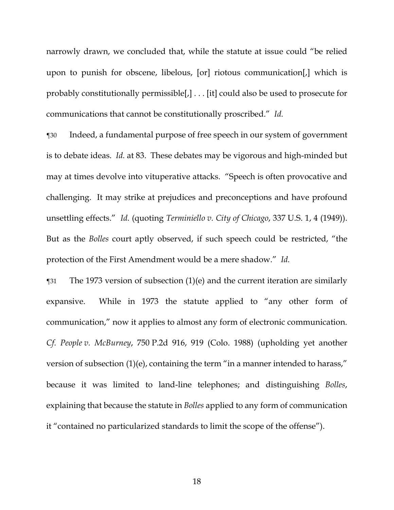narrowly drawn, we concluded that, while the statute at issue could "be relied upon to punish for obscene, libelous, [or] riotous communication[,] which is probably constitutionally permissible[,] . . . [it] could also be used to prosecute for communications that cannot be constitutionally proscribed." *Id.*

¶30 Indeed, a fundamental purpose of free speech in our system of government is to debate ideas. *Id.* at 83. These debates may be vigorous and high-minded but may at times devolve into vituperative attacks. "Speech is often provocative and challenging. It may strike at prejudices and preconceptions and have profound unsettling effects." *Id.* (quoting *Terminiello v. City of Chicago*, 337 U.S. 1, 4 (1949)). But as the *Bolles* court aptly observed, if such speech could be restricted, "the protection of the First Amendment would be a mere shadow." *Id.*

¶31 The 1973 version of subsection (1)(e) and the current iteration are similarly expansive. While in 1973 the statute applied to "any other form of communication," now it applies to almost any form of electronic communication. *Cf. People v. McBurney*, 750 P.2d 916, 919 (Colo. 1988) (upholding yet another version of subsection (1)(e), containing the term "in a manner intended to harass," because it was limited to land-line telephones; and distinguishing *Bolles*, explaining that because the statute in *Bolles* applied to any form of communication it "contained no particularized standards to limit the scope of the offense").